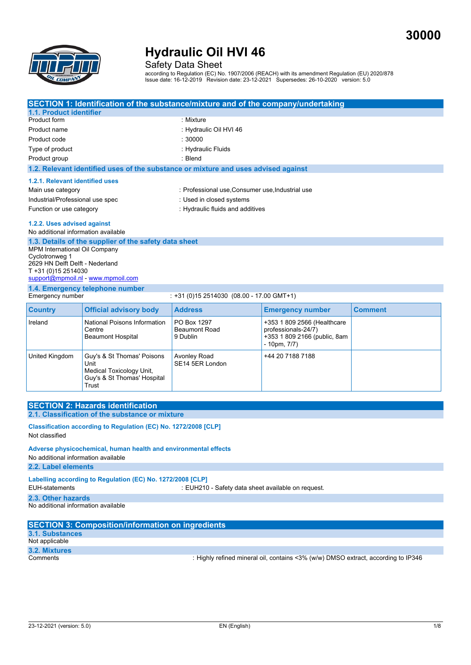**30000**



Safety Data Sheet

according to Regulation (EC) No. 1907/2006 (REACH) with its amendment Regulation (EU) 2020/878 Issue date: 16-12-2019 Revision date: 23-12-2021 Supersedes: 26-10-2020 version: 5.0

|                                                                                                                                                                                                          |                                                                                                        | SECTION 1: Identification of the substance/mixture and of the company/undertaking  |                                                                                                    |                |  |  |
|----------------------------------------------------------------------------------------------------------------------------------------------------------------------------------------------------------|--------------------------------------------------------------------------------------------------------|------------------------------------------------------------------------------------|----------------------------------------------------------------------------------------------------|----------------|--|--|
| 1.1. Product identifier                                                                                                                                                                                  |                                                                                                        |                                                                                    |                                                                                                    |                |  |  |
| Product form                                                                                                                                                                                             |                                                                                                        | : Mixture                                                                          |                                                                                                    |                |  |  |
| Product name                                                                                                                                                                                             |                                                                                                        | : Hydraulic Oil HVI 46                                                             |                                                                                                    |                |  |  |
| Product code                                                                                                                                                                                             |                                                                                                        | : 30000                                                                            |                                                                                                    |                |  |  |
| Type of product                                                                                                                                                                                          |                                                                                                        | : Hydraulic Fluids                                                                 |                                                                                                    |                |  |  |
| Product group                                                                                                                                                                                            |                                                                                                        | : Blend                                                                            |                                                                                                    |                |  |  |
|                                                                                                                                                                                                          |                                                                                                        | 1.2. Relevant identified uses of the substance or mixture and uses advised against |                                                                                                    |                |  |  |
|                                                                                                                                                                                                          |                                                                                                        |                                                                                    |                                                                                                    |                |  |  |
| 1.2.1. Relevant identified uses                                                                                                                                                                          |                                                                                                        |                                                                                    |                                                                                                    |                |  |  |
| Main use category                                                                                                                                                                                        |                                                                                                        | : Professional use, Consumer use, Industrial use                                   |                                                                                                    |                |  |  |
| Industrial/Professional use spec                                                                                                                                                                         |                                                                                                        | : Used in closed systems                                                           |                                                                                                    |                |  |  |
| Function or use category                                                                                                                                                                                 |                                                                                                        | : Hydraulic fluids and additives                                                   |                                                                                                    |                |  |  |
| 1.2.2. Uses advised against                                                                                                                                                                              |                                                                                                        |                                                                                    |                                                                                                    |                |  |  |
| No additional information available                                                                                                                                                                      |                                                                                                        |                                                                                    |                                                                                                    |                |  |  |
| 1.3. Details of the supplier of the safety data sheet<br>MPM International Oil Company<br>Cyclotronweg 1<br>2629 HN Delft Delft - Nederland<br>T +31 (0)15 2514030<br>support@mpmoil.nl - www.mpmoil.com |                                                                                                        |                                                                                    |                                                                                                    |                |  |  |
| Emergency number                                                                                                                                                                                         | 1.4. Emergency telephone number                                                                        | : +31 (0)15 2514030 (08.00 - 17.00 GMT+1)                                          |                                                                                                    |                |  |  |
| <b>Country</b>                                                                                                                                                                                           | <b>Official advisory body</b>                                                                          | <b>Address</b>                                                                     | <b>Emergency number</b>                                                                            | <b>Comment</b> |  |  |
| Ireland                                                                                                                                                                                                  | National Poisons Information<br>Centre<br><b>Beaumont Hospital</b>                                     | PO Box 1297<br><b>Beaumont Road</b><br>9 Dublin                                    | +353 1 809 2566 (Healthcare<br>professionals-24/7)<br>+353 1 809 2166 (public, 8am<br>- 10pm, 7/7) |                |  |  |
| United Kingdom                                                                                                                                                                                           | Guy's & St Thomas' Poisons<br>Unit<br>Medical Toxicology Unit,<br>Guy's & St Thomas' Hospital<br>Trust | <b>Avonley Road</b><br>SE14 5ER London                                             | +44 20 7188 7188                                                                                   |                |  |  |
|                                                                                                                                                                                                          |                                                                                                        |                                                                                    |                                                                                                    |                |  |  |
|                                                                                                                                                                                                          | <b>SECTION 2: Hazards identification</b><br>2.1. Classification of the substance or mixture            |                                                                                    |                                                                                                    |                |  |  |
| Classification according to Regulation (EC) No. 1272/2008 [CLP]<br>Not classified                                                                                                                        |                                                                                                        |                                                                                    |                                                                                                    |                |  |  |
| Adverse physicochemical, human health and environmental effects<br>No additional information available                                                                                                   |                                                                                                        |                                                                                    |                                                                                                    |                |  |  |
| 2.2. Label elements                                                                                                                                                                                      |                                                                                                        |                                                                                    |                                                                                                    |                |  |  |
| Labelling according to Regulation (EC) No. 1272/2008 [CLP]                                                                                                                                               |                                                                                                        |                                                                                    |                                                                                                    |                |  |  |
| <b>EUH-statements</b><br>: EUH210 - Safety data sheet available on request.                                                                                                                              |                                                                                                        |                                                                                    |                                                                                                    |                |  |  |
| 2.3. Other hazards<br>No additional information available                                                                                                                                                |                                                                                                        |                                                                                    |                                                                                                    |                |  |  |
| <b>SECTION 3: Composition/information on ingredients</b>                                                                                                                                                 |                                                                                                        |                                                                                    |                                                                                                    |                |  |  |
| <b>3.1. Substances</b>                                                                                                                                                                                   |                                                                                                        |                                                                                    |                                                                                                    |                |  |  |
| Not applicable                                                                                                                                                                                           |                                                                                                        |                                                                                    |                                                                                                    |                |  |  |

**3.2. Mixtures**

: Highly refined mineral oil, contains <3% (w/w) DMSO extract, according to IP346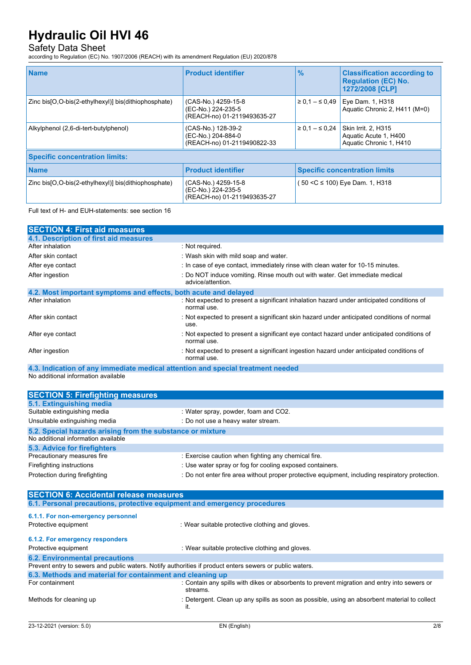### Safety Data Sheet

according to Regulation (EC) No. 1907/2006 (REACH) with its amendment Regulation (EU) 2020/878

| <b>Name</b>                                              | <b>Product identifier</b>                                                | $\%$                 | <b>Classification according to</b><br><b>Regulation (EC) No.</b><br>1272/2008 [CLP] |
|----------------------------------------------------------|--------------------------------------------------------------------------|----------------------|-------------------------------------------------------------------------------------|
| Zinc bis[O,O-bis(2-ethylhexyl)] bis(dithiophosphate)     | (CAS-No.) 4259-15-8<br>(EC-No.) 224-235-5<br>(REACH-no) 01-2119493635-27 | $\ge 0.1 - \le 0.49$ | Eye Dam. 1, H318<br>Aquatic Chronic 2, H411 (M=0)                                   |
| Alkylphenol (2,6-di-tert-butylphenol)                    | (CAS-No.) 128-39-2<br>(EC-No.) 204-884-0<br>(REACH-no) 01-2119490822-33  | $\ge 0.1 - \le 0.24$ | Skin Irrit. 2, H315<br>Aquatic Acute 1, H400<br>Aquatic Chronic 1, H410             |
| <b>Specific concentration limits:</b>                    |                                                                          |                      |                                                                                     |
| <b>Name</b>                                              | <b>Product identifier</b>                                                |                      | <b>Specific concentration limits</b>                                                |
| Zinc bis [O, O-bis (2-ethylhexyl)] bis (dithiophosphate) | (CAS-No.) 4259-15-8<br>(EC-No.) 224-235-5<br>(REACH-no) 01-2119493635-27 |                      | (50 <c 1,="" 100)="" dam.="" eye="" h318<="" td="" ≤=""></c>                        |

Full text of H- and EUH-statements: see section 16

| <b>SECTION 4: First aid measures</b>                             |                                                                                                           |
|------------------------------------------------------------------|-----------------------------------------------------------------------------------------------------------|
| 4.1. Description of first aid measures                           |                                                                                                           |
| After inhalation                                                 | : Not required.                                                                                           |
| After skin contact                                               | : Wash skin with mild soap and water.                                                                     |
| After eye contact                                                | : In case of eye contact, immediately rinse with clean water for 10-15 minutes.                           |
| After ingestion                                                  | : Do NOT induce vomiting. Rinse mouth out with water. Get immediate medical<br>advice/attention.          |
| 4.2. Most important symptoms and effects, both acute and delayed |                                                                                                           |
| After inhalation                                                 | : Not expected to present a significant inhalation hazard under anticipated conditions of<br>normal use.  |
| After skin contact                                               | : Not expected to present a significant skin hazard under anticipated conditions of normal<br>use.        |
| After eye contact                                                | : Not expected to present a significant eye contact hazard under anticipated conditions of<br>normal use. |
| After ingestion                                                  | : Not expected to present a significant ingestion hazard under anticipated conditions of<br>normal use.   |

**4.3. Indication of any immediate medical attention and special treatment needed** No additional information available

| <b>SECTION 5: Firefighting measures</b>                    |                                                                                                 |
|------------------------------------------------------------|-------------------------------------------------------------------------------------------------|
|                                                            |                                                                                                 |
| 5.1. Extinguishing media                                   |                                                                                                 |
| Suitable extinguishing media                               | : Water spray, powder, foam and CO2.                                                            |
| Unsuitable extinguishing media                             | : Do not use a heavy water stream.                                                              |
| 5.2. Special hazards arising from the substance or mixture |                                                                                                 |
| No additional information available                        |                                                                                                 |
| 5.3. Advice for firefighters                               |                                                                                                 |
| Precautionary measures fire                                | : Exercise caution when fighting any chemical fire.                                             |
| Firefighting instructions                                  | : Use water spray or fog for cooling exposed containers.                                        |
| Protection during firefighting                             | : Do not enter fire area without proper protective equipment, including respiratory protection. |

| <b>SECTION 6: Accidental release measures</b>                                                            |                                                                                                         |  |
|----------------------------------------------------------------------------------------------------------|---------------------------------------------------------------------------------------------------------|--|
| 6.1. Personal precautions, protective equipment and emergency procedures                                 |                                                                                                         |  |
| 6.1.1. For non-emergency personnel<br>Protective equipment                                               | : Wear suitable protective clothing and gloves.                                                         |  |
| 6.1.2. For emergency responders                                                                          |                                                                                                         |  |
| Protective equipment                                                                                     | : Wear suitable protective clothing and gloves.                                                         |  |
| <b>6.2. Environmental precautions</b>                                                                    |                                                                                                         |  |
| Prevent entry to sewers and public waters. Notify authorities if product enters sewers or public waters. |                                                                                                         |  |
| 6.3. Methods and material for containment and cleaning up                                                |                                                                                                         |  |
| For containment                                                                                          | : Contain any spills with dikes or absorbents to prevent migration and entry into sewers or<br>streams. |  |
| Methods for cleaning up                                                                                  | : Detergent. Clean up any spills as soon as possible, using an absorbent material to collect<br>it.     |  |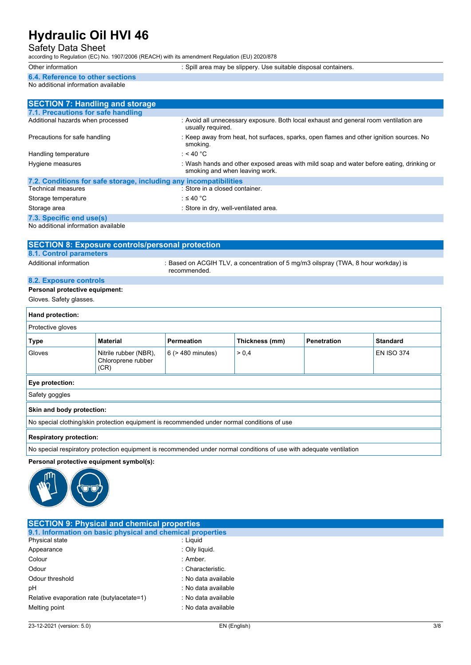## Safety Data Sheet

according to Regulation (EC) No. 1907/2006 (REACH) with its amendment Regulation (EU) 2020/878

- Other information **of the interval of the set of the set of the set of the set of the set of the set of the set of the set of the set of the set of the set of the set of the set of the set of the set of the set of the set**
- **6.4. Reference to other sections**

#### No additional information available

| <b>SECTION 7: Handling and storage</b>                            |                                                                                                                            |
|-------------------------------------------------------------------|----------------------------------------------------------------------------------------------------------------------------|
| 7.1. Precautions for safe handling                                |                                                                                                                            |
| Additional hazards when processed                                 | : Avoid all unnecessary exposure. Both local exhaust and general room ventilation are<br>usually required.                 |
| Precautions for safe handling                                     | : Keep away from heat, hot surfaces, sparks, open flames and other ignition sources. No<br>smoking.                        |
| Handling temperature                                              | : < 40 °C                                                                                                                  |
| Hygiene measures                                                  | : Wash hands and other exposed areas with mild soap and water before eating, drinking or<br>smoking and when leaving work. |
| 7.2. Conditions for safe storage, including any incompatibilities |                                                                                                                            |
| <b>Technical measures</b>                                         | : Store in a closed container.                                                                                             |
| Storage temperature                                               | : $\leq 40$ °C                                                                                                             |
| Storage area                                                      | : Store in dry, well-ventilated area.                                                                                      |
| 7.3. Specific end use(s)                                          |                                                                                                                            |

No additional information available

| <b>SECTION 8: Exposure controls/personal protection</b> |                                                                                                    |  |
|---------------------------------------------------------|----------------------------------------------------------------------------------------------------|--|
| <b>8.1. Control parameters</b>                          |                                                                                                    |  |
| Additional information                                  | : Based on ACGIH TLV, a concentration of 5 mg/m3 oilspray (TWA, 8 hour workday) is<br>recommended. |  |
| 8.2. Exposure controls                                  |                                                                                                    |  |
|                                                         |                                                                                                    |  |

### **Personal protective equipment:**

Gloves. Safety glasses.

| Hand protection:                                                                            |                                                     |                        |                |                    |                   |
|---------------------------------------------------------------------------------------------|-----------------------------------------------------|------------------------|----------------|--------------------|-------------------|
| Protective gloves                                                                           |                                                     |                        |                |                    |                   |
| <b>Type</b>                                                                                 | <b>Material</b>                                     | <b>Permeation</b>      | Thickness (mm) | <b>Penetration</b> | <b>Standard</b>   |
| Gloves                                                                                      | Nitrile rubber (NBR),<br>Chloroprene rubber<br>(CR) | $6$ ( $>$ 480 minutes) | > 0.4          |                    | <b>EN ISO 374</b> |
| Eye protection:                                                                             |                                                     |                        |                |                    |                   |
| Safety goggles                                                                              |                                                     |                        |                |                    |                   |
| Skin and body protection:                                                                   |                                                     |                        |                |                    |                   |
| No special clothing/skin protection equipment is recommended under normal conditions of use |                                                     |                        |                |                    |                   |

#### **Respiratory protection:**

No special respiratory protection equipment is recommended under normal conditions of use with adequate ventilation

#### **Personal protective equipment symbol(s):**



| <b>SECTION 9: Physical and chemical properties</b>         |                     |  |
|------------------------------------------------------------|---------------------|--|
| 9.1. Information on basic physical and chemical properties |                     |  |
| Physical state                                             | : Liguid            |  |
| Appearance                                                 | : Oily liquid.      |  |
| Colour                                                     | : Amber.            |  |
| Odour                                                      | : Characteristic    |  |
| Odour threshold                                            | : No data available |  |
| рH                                                         | : No data available |  |
| Relative evaporation rate (butylacetate=1)                 | : No data available |  |
| Melting point                                              | : No data available |  |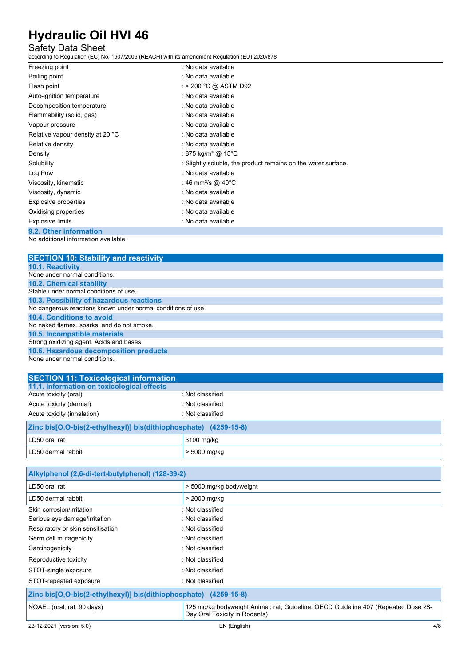### Safety Data Sheet

according to Regulation (EC) No. 1907/2006 (REACH) with its amendment Regulation (EU) 2020/878

| Freezing point                   | : No data available                                           |
|----------------------------------|---------------------------------------------------------------|
| Boiling point                    | : No data available                                           |
| Flash point                      | : > 200 °C @ ASTM D92                                         |
| Auto-ignition temperature        | : No data available                                           |
| Decomposition temperature        | : No data available                                           |
| Flammability (solid, gas)        | : No data available                                           |
| Vapour pressure                  | : No data available                                           |
| Relative vapour density at 20 °C | : No data available                                           |
| Relative density                 | : No data available                                           |
| Density                          | : 875 kg/m <sup>3</sup> @ 15°C                                |
| Solubility                       | : Slightly soluble, the product remains on the water surface. |
| Log Pow                          | : No data available                                           |
| Viscosity, kinematic             | : 46 mm <sup>2</sup> /s @ 40°C                                |
| Viscosity, dynamic               | : No data available                                           |
| Explosive properties             | : No data available                                           |
| Oxidising properties             | : No data available                                           |
| <b>Explosive limits</b>          | : No data available                                           |
| 9.2. Other information           |                                                               |

No additional information available

| <b>SECTION 10: Stability and reactivity</b>                  |
|--------------------------------------------------------------|
| 10.1. Reactivity                                             |
| None under normal conditions.                                |
| <b>10.2. Chemical stability</b>                              |
| Stable under normal conditions of use.                       |
| 10.3. Possibility of hazardous reactions                     |
| No dangerous reactions known under normal conditions of use. |
| 10.4. Conditions to avoid                                    |
| No naked flames, sparks, and do not smoke.                   |
| 10.5. Incompatible materials                                 |
| Strong oxidizing agent. Acids and bases.                     |
| 10.6. Hazardous decomposition products                       |
| None under normal conditions.                                |

| <b>SECTION 11: Toxicological information</b>                     |                  |  |
|------------------------------------------------------------------|------------------|--|
| 11.1. Information on toxicological effects                       |                  |  |
| Acute toxicity (oral)                                            | : Not classified |  |
| Acute toxicity (dermal)                                          | : Not classified |  |
| Acute toxicity (inhalation)                                      | : Not classified |  |
| Zinc bis[O,O-bis(2-ethylhexyl)] bis(dithiophosphate) (4259-15-8) |                  |  |
| LD50 oral rat                                                    | 3100 mg/kg       |  |
| LD50 dermal rabbit                                               | $>$ 5000 mg/kg   |  |

| Alkylphenol (2,6-di-tert-butylphenol) (128-39-2)                 |                                                                                                                     |  |
|------------------------------------------------------------------|---------------------------------------------------------------------------------------------------------------------|--|
| LD50 oral rat                                                    | > 5000 mg/kg bodyweight                                                                                             |  |
| LD50 dermal rabbit                                               | > 2000 mg/kg                                                                                                        |  |
| Skin corrosion/irritation                                        | : Not classified                                                                                                    |  |
| Serious eye damage/irritation                                    | : Not classified                                                                                                    |  |
| Respiratory or skin sensitisation                                | : Not classified                                                                                                    |  |
| Germ cell mutagenicity                                           | : Not classified                                                                                                    |  |
| Carcinogenicity                                                  | : Not classified                                                                                                    |  |
| Reproductive toxicity                                            | : Not classified                                                                                                    |  |
| STOT-single exposure                                             | : Not classified                                                                                                    |  |
| STOT-repeated exposure                                           | : Not classified                                                                                                    |  |
| Zinc bis[O,O-bis(2-ethylhexyl)] bis(dithiophosphate) (4259-15-8) |                                                                                                                     |  |
| NOAEL (oral, rat, 90 days)                                       | 125 mg/kg bodyweight Animal: rat, Guideline: OECD Guideline 407 (Repeated Dose 28-<br>Day Oral Toxicity in Rodents) |  |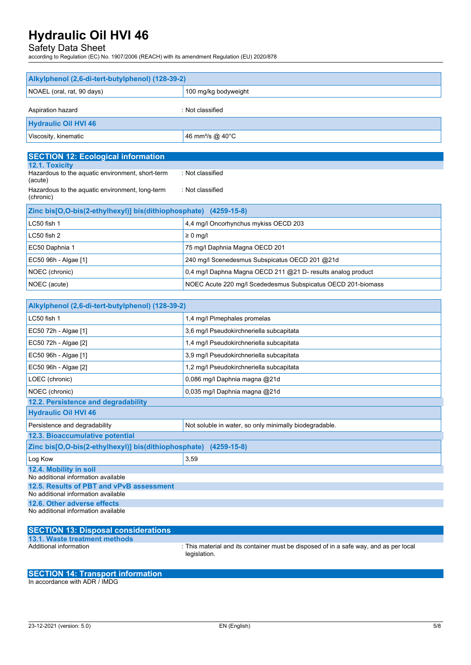### Safety Data Sheet

according to Regulation (EC) No. 1907/2006 (REACH) with its amendment Regulation (EU) 2020/878

| Alkylphenol (2,6-di-tert-butylphenol) (128-39-2)                                |                                                              |  |
|---------------------------------------------------------------------------------|--------------------------------------------------------------|--|
| NOAEL (oral, rat, 90 days)                                                      | 100 mg/kg bodyweight                                         |  |
| Aspiration hazard                                                               | : Not classified                                             |  |
| <b>Hydraulic Oil HVI 46</b>                                                     |                                                              |  |
| Viscosity, kinematic                                                            | 46 mm <sup>2</sup> /s @ 40°C                                 |  |
|                                                                                 |                                                              |  |
| <b>SECTION 12: Ecological information</b><br>12.1. Toxicity                     |                                                              |  |
| Hazardous to the aquatic environment, short-term                                | : Not classified                                             |  |
| (acute)<br>Hazardous to the aquatic environment, long-term                      | : Not classified                                             |  |
| (chronic)                                                                       |                                                              |  |
| Zinc bis[O,O-bis(2-ethylhexyl)] bis(dithiophosphate) (4259-15-8)                |                                                              |  |
| LC50 fish 1                                                                     | 4,4 mg/l Oncorhynchus mykiss OECD 203                        |  |
| LC50 fish 2                                                                     | $\geq 0$ mg/l                                                |  |
| EC50 Daphnia 1                                                                  | 75 mg/l Daphnia Magna OECD 201                               |  |
| EC50 96h - Algae [1]                                                            | 240 mg/l Scenedesmus Subspicatus OECD 201 @21d               |  |
| NOEC (chronic)                                                                  | 0,4 mg/l Daphna Magna OECD 211 @21 D- results analog product |  |
| NOEC (acute)                                                                    | NOEC Acute 220 mg/l Scededesmus Subspicatus OECD 201-biomass |  |
|                                                                                 |                                                              |  |
| Alkylphenol (2,6-di-tert-butylphenol) (128-39-2)                                |                                                              |  |
| LC50 fish 1                                                                     | 1,4 mg/l Pimephales promelas                                 |  |
| EC50 72h - Algae [1]                                                            | 3,6 mg/l Pseudokirchneriella subcapitata                     |  |
| EC50 72h - Algae [2]                                                            | 1,4 mg/l Pseudokirchneriella subcapitata                     |  |
| EC50 96h - Algae [1]                                                            | 3,9 mg/l Pseudokirchneriella subcapitata                     |  |
| EC50 96h - Algae [2]                                                            | 1,2 mg/l Pseudokirchneriella subcapitata                     |  |
| LOEC (chronic)                                                                  | 0,086 mg/l Daphnia magna @21d                                |  |
| NOEC (chronic)                                                                  | 0,035 mg/l Daphnia magna @21d                                |  |
| 12.2. Persistence and degradability<br><b>Hydraulic Oil HVI 46</b>              |                                                              |  |
|                                                                                 | Not soluble in water, so only minimally biodegradable.       |  |
| Persistence and degradability<br>12.3. Bioaccumulative potential                |                                                              |  |
| Zinc bis[O,O-bis(2-ethylhexyl)] bis(dithiophosphate) (4259-15-8)                |                                                              |  |
| Log Kow                                                                         | 3,59                                                         |  |
| 12.4. Mobility in soil                                                          |                                                              |  |
| No additional information available<br>12.5. Results of PBT and vPvB assessment |                                                              |  |
| No additional information available                                             |                                                              |  |
| 12.6. Other adverse effects<br>No additional information available              |                                                              |  |

| <b>SECTION 13: Disposal considerations</b> |                                                                                                       |
|--------------------------------------------|-------------------------------------------------------------------------------------------------------|
| 13.1. Waste treatment methods              |                                                                                                       |
| Additional information                     | : This material and its container must be disposed of in a safe way, and as per local<br>legislation. |

## **SECTION 14: Transport information**

In accordance with ADR / IMDG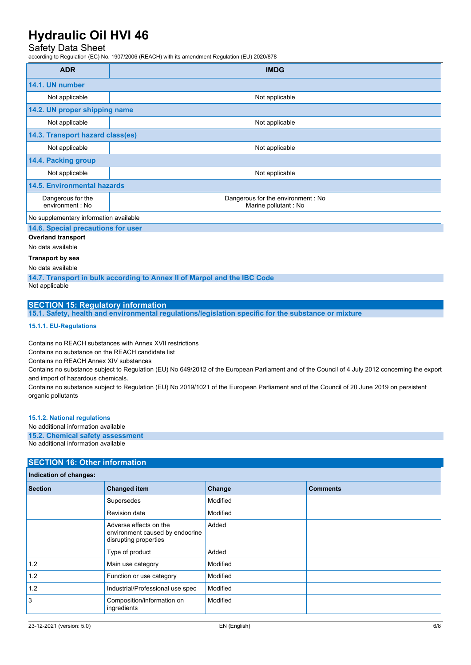### Safety Data Sheet

according to Regulation (EC) No. 1907/2006 (REACH) with its amendment Regulation (EU) 2020/878

| <b>ADR</b>                             | <b>IMDG</b>                                                 |  |
|----------------------------------------|-------------------------------------------------------------|--|
| 14.1. UN number                        |                                                             |  |
| Not applicable                         | Not applicable                                              |  |
| 14.2. UN proper shipping name          |                                                             |  |
| Not applicable                         | Not applicable                                              |  |
| 14.3. Transport hazard class(es)       |                                                             |  |
| Not applicable                         | Not applicable                                              |  |
| 14.4. Packing group                    |                                                             |  |
| Not applicable                         | Not applicable                                              |  |
| <b>14.5. Environmental hazards</b>     |                                                             |  |
| Dangerous for the<br>environment : No  | Dangerous for the environment : No<br>Marine pollutant : No |  |
| No supplementary information available |                                                             |  |

#### **14.6. Special precautions for user**

**Overland transport**

No data available

#### **Transport by sea**

No data available

**14.7. Transport in bulk according to Annex II of Marpol and the IBC Code** Not applicable

## **SECTION 15: Regulatory information**

**15.1. Safety, health and environmental regulations/legislation specific for the substance or mixture**

#### **15.1.1. EU-Regulations**

Contains no REACH substances with Annex XVII restrictions

Contains no substance on the REACH candidate list

Contains no REACH Annex XIV substances

Contains no substance subject to Regulation (EU) No 649/2012 of the European Parliament and of the Council of 4 July 2012 concerning the export and import of hazardous chemicals.

Contains no substance subject to Regulation (EU) No 2019/1021 of the European Parliament and of the Council of 20 June 2019 on persistent organic pollutants

**15.1.2. National regulations**

No additional information available

**15.2. Chemical safety assessment**

No additional information available

#### **SECTION 16: Other information**

| Indication of changes: |                                                                                    |          |                 |
|------------------------|------------------------------------------------------------------------------------|----------|-----------------|
| <b>Section</b>         | <b>Changed item</b>                                                                | Change   | <b>Comments</b> |
|                        | Supersedes                                                                         | Modified |                 |
|                        | <b>Revision date</b>                                                               | Modified |                 |
|                        | Adverse effects on the<br>environment caused by endocrine<br>disrupting properties | Added    |                 |
|                        | Type of product                                                                    | Added    |                 |
| 1.2                    | Main use category                                                                  | Modified |                 |
| 1.2                    | Function or use category                                                           | Modified |                 |
| 1.2                    | Industrial/Professional use spec                                                   | Modified |                 |
| 3                      | Composition/information on<br>ingredients                                          | Modified |                 |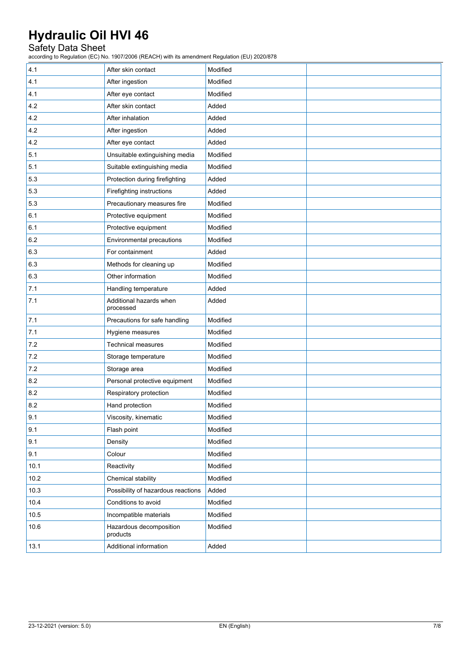## Safety Data Sheet

according to Regulation (EC) No. 1907/2006 (REACH) with its amendment Regulation (EU) 2020/878

| 4.1  | After skin contact                   | Modified |  |
|------|--------------------------------------|----------|--|
| 4.1  | After ingestion                      | Modified |  |
| 4.1  | After eye contact                    | Modified |  |
| 4.2  | After skin contact                   | Added    |  |
| 4.2  | After inhalation                     | Added    |  |
| 4.2  | After ingestion                      | Added    |  |
| 4.2  | After eye contact                    | Added    |  |
| 5.1  | Unsuitable extinguishing media       | Modified |  |
| 5.1  | Suitable extinguishing media         | Modified |  |
| 5.3  | Protection during firefighting       | Added    |  |
| 5.3  | Firefighting instructions            | Added    |  |
| 5.3  | Precautionary measures fire          | Modified |  |
| 6.1  | Protective equipment                 | Modified |  |
| 6.1  | Protective equipment                 | Modified |  |
| 6.2  | Environmental precautions            | Modified |  |
| 6.3  | For containment                      | Added    |  |
| 6.3  | Methods for cleaning up              | Modified |  |
| 6.3  | Other information                    | Modified |  |
| 7.1  | Handling temperature                 | Added    |  |
| 7.1  | Additional hazards when<br>processed | Added    |  |
| 7.1  | Precautions for safe handling        | Modified |  |
| 7.1  | Hygiene measures                     | Modified |  |
| 7.2  | <b>Technical measures</b>            | Modified |  |
| 7.2  | Storage temperature                  | Modified |  |
| 7.2  | Storage area                         | Modified |  |
| 8.2  | Personal protective equipment        | Modified |  |
| 8.2  | Respiratory protection               | Modified |  |
| 8.2  | Hand protection                      | Modified |  |
| 9.1  | Viscosity, kinematic                 | Modified |  |
| 9.1  | Flash point                          | Modified |  |
| 9.1  | Density                              | Modified |  |
| 9.1  | Colour                               | Modified |  |
| 10.1 | Reactivity                           | Modified |  |
| 10.2 | Chemical stability                   | Modified |  |
| 10.3 | Possibility of hazardous reactions   | Added    |  |
| 10.4 | Conditions to avoid                  | Modified |  |
| 10.5 | Incompatible materials               | Modified |  |
| 10.6 | Hazardous decomposition<br>products  | Modified |  |
| 13.1 | Additional information               | Added    |  |